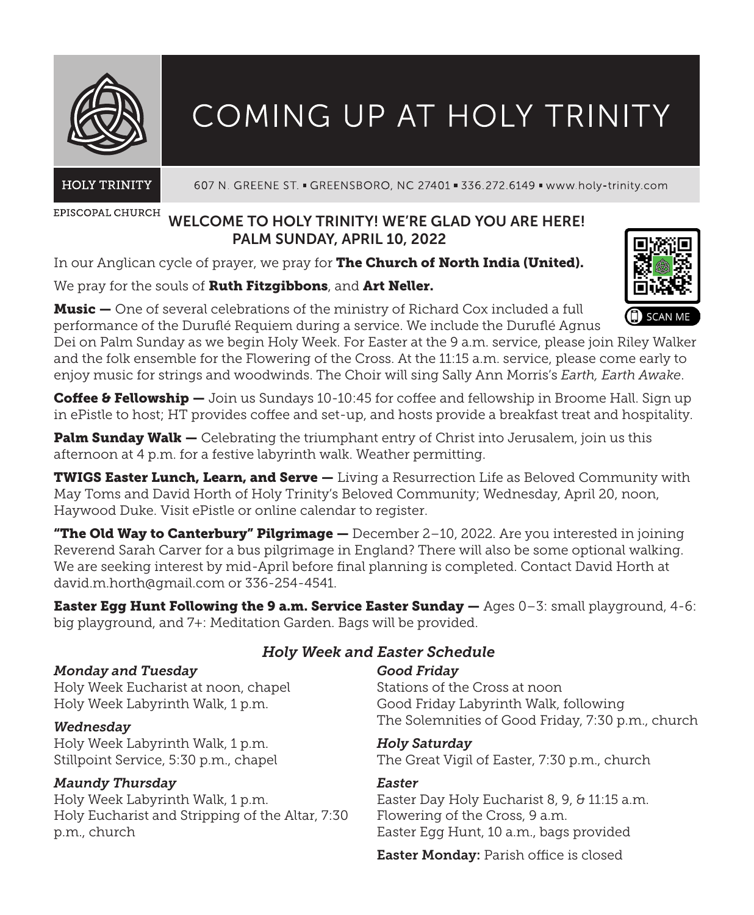

# COMING UP AT HOLY TRINITY

**HOLY TRINITY** 

607 N. GREENE ST. - GREENSBORO, NC 27401 - 336.272.6149 - www.holy-trinity.com

EPISCOPAL CHURCH

# WELCOME TO HOLY TRINITY! WE'RE GLAD YOU ARE HERE! PALM SUNDAY, APRIL 10, 2022

In our Anglican cycle of prayer, we pray for The Church of North India (United).

## We pray for the souls of Ruth Fitzgibbons, and Art Neller.

Music — One of several celebrations of the ministry of Richard Cox included a full performance of the Duruflé Requiem during a service. We include the Duruflé Agnus

Dei on Palm Sunday as we begin Holy Week. For Easter at the 9 a.m. service, please join Riley Walker and the folk ensemble for the Flowering of the Cross. At the 11:15 a.m. service, please come early to enjoy music for strings and woodwinds. The Choir will sing Sally Ann Morris's *Earth, Earth Awake*.

Coffee & Fellowship — Join us Sundays 10-10:45 for coffee and fellowship in Broome Hall. Sign up in ePistle to host; HT provides coffee and set-up, and hosts provide a breakfast treat and hospitality.

Palm Sunday Walk — Celebrating the triumphant entry of Christ into Jerusalem, join us this afternoon at 4 p.m. for a festive labyrinth walk. Weather permitting.

TWIGS Easter Lunch, Learn, and Serve — Living a Resurrection Life as Beloved Community with May Toms and David Horth of Holy Trinity's Beloved Community; Wednesday, April 20, noon, Haywood Duke. Visit ePistle or online calendar to register.

**"The Old Way to Canterbury" Pilgrimage —** December 2–10, 2022. Are you interested in joining Reverend Sarah Carver for a bus pilgrimage in England? There will also be some optional walking. We are seeking interest by mid-April before final planning is completed. Contact David Horth at david.m.horth@gmail.com or 336-254-4541.

**Easter Egg Hunt Following the 9 a.m. Service Easter Sunday —** Ages 0-3: small playground, 4-6: big playground, and 7+: Meditation Garden. Bags will be provided.

## *Monday and Tuesday*

Holy Week Eucharist at noon, chapel Holy Week Labyrinth Walk, 1 p.m.

## *Wednesday*

Holy Week Labyrinth Walk, 1 p.m. Stillpoint Service, 5:30 p.m., chapel

# *Maundy Thursday*

Holy Week Labyrinth Walk, 1 p.m. Holy Eucharist and Stripping of the Altar, 7:30 p.m., church

# *Holy Week and Easter Schedule*

## *Good Friday*

Stations of the Cross at noon Good Friday Labyrinth Walk, following The Solemnities of Good Friday, 7:30 p.m., church

## *Holy Saturday*

The Great Vigil of Easter, 7:30 p.m., church

# *Easter*

Easter Day Holy Eucharist 8, 9, & 11:15 a.m. Flowering of the Cross, 9 a.m. Easter Egg Hunt, 10 a.m., bags provided

Easter Monday: Parish office is closed